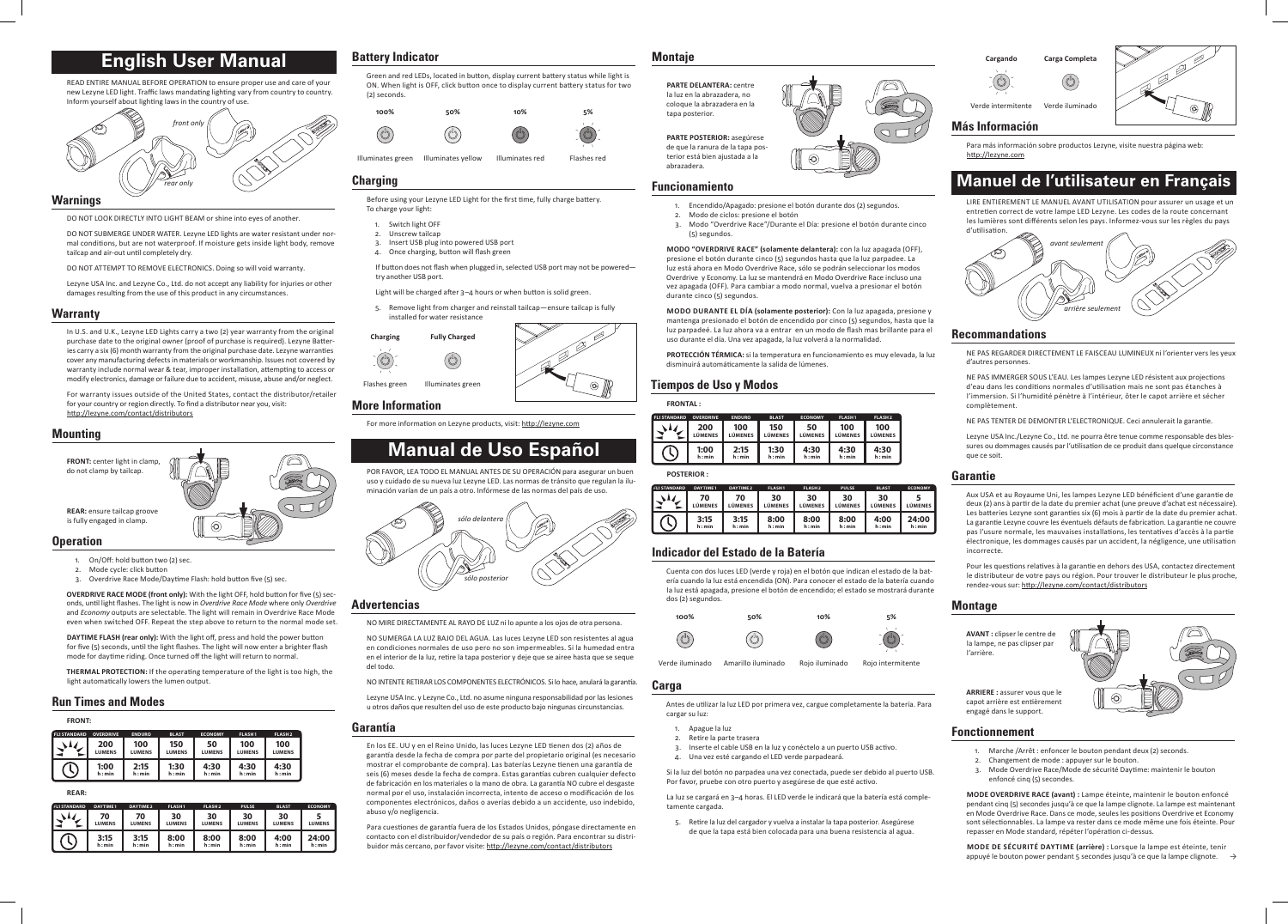# **English User Manual**

READ ENTIRE MANUAL BEFORE OPERATION to ensure proper use and care of your new Lezyne LED light. Traffic laws mandating lighting vary from country to country. Inform yourself about lighting laws in the country of use.



#### **Warnings**

DO NOT LOOK DIRECTLY INTO LIGHT BEAM or shine into eyes of another.

DO NOT SUBMERGE UNDER WATER. Lezyne LED lights are water resistant under normal conditions, but are not waterproof. If moisture gets inside light body, remove tailcap and air-out until completely dry.

DO NOT ATTEMPT TO REMOVE ELECTRONICS. Doing so will void warranty.

Lezyne USA Inc. and Lezyne Co., Ltd. do not accept any liability for injuries or other damages resulting from the use of this product in any circumstances.

#### **Warranty**

- On/Off: hold button two (2) sec.
- 2. Mode cycle: click button
- 3. Overdrive Race Mode/Daytime Flash: hold button five (5) sec.

In U.S. and U.K., Lezyne LED Lights carry a two (2) year warranty from the original purchase date to the original owner (proof of purchase is required). Lezyne Batteries carry a six (6) month warranty from the original purchase date. Lezyne warranties cover any manufacturing defects in materials or workmanship. Issues not covered by warranty include normal wear & tear, improper installation, attempting to access or modify electronics, damage or failure due to accident, misuse, abuse and/or neglect.

For warranty issues outside of the United States, contact the distributor/retailer for your country or region directly. To find a distributor near you, visit: http://lezyne.com/contact/distributors

#### **Mounting**



If button does not flash when plugged in, selected USB port may not be poweredtry another USB port.

**OVERDRIVE RACE MODE (front only):** With the light OFF, hold button for five (5) seconds, until light flashes. The light is now in *Overdrive Race Mode* where only *Overdrive* and *Economy* outputs are selectable. The light will remain in Overdrive Race Mode even when switched OFF. Repeat the step above to return to the normal mode set.

**DAYTIME FLASH (rear only):** With the light off, press and hold the power button for five (5) seconds, until the light flashes. The light will now enter a brighter flash mode for daytime riding. Once turned off the light will return to normal.

**THERMAL PROTECTION:** If the operating temperature of the light is too high, the light automatically lowers the lumen output.

#### **Run Times and Modes**

| <b>FRONT:</b>       |                  |               |               |                |               |                    |  |  |  |
|---------------------|------------------|---------------|---------------|----------------|---------------|--------------------|--|--|--|
| <b>FL1 STANDARD</b> | <b>OVERDRIVE</b> | <b>ENDURO</b> | <b>BLAST</b>  | <b>ECONOMY</b> | <b>FLASH1</b> | FLASH <sub>2</sub> |  |  |  |
|                     | 200              | 100           | 150           | 50             | 100           | 100                |  |  |  |
|                     | <b>LUMENS</b>    | <b>LUMENS</b> | <b>LUMENS</b> | <b>LUMENS</b>  | <b>LUMENS</b> | <b>LUMENS</b>      |  |  |  |
|                     | 1:00             | 2:15          | 1:30          | 4:30           | 4:30          | 4:30               |  |  |  |
|                     | h: min           | h: min        | h: min        | h: min         | h: min        | h: min             |  |  |  |

#### **REAR:**

| <b>FL1 STANDARD</b> | <b>DAYTIME1</b>     | DAYTIME 2           | <b>FLASH1</b>       | FLASH <sub>2</sub>  | <b>PULSE</b>        | <b>BLAST</b>        | <b>ECONOMY</b>  |
|---------------------|---------------------|---------------------|---------------------|---------------------|---------------------|---------------------|-----------------|
|                     | 70<br><b>LUMENS</b> | 70<br><b>LUMENS</b> | 30<br><b>LUMENS</b> | 30<br><b>LUMENS</b> | 30<br><b>LUMENS</b> | 30<br><b>LUMENS</b> | <b>LUMENS</b>   |
|                     | 3:15<br>h: min      | 3:15<br>h: min      | 8:00<br>h: min      | 8:00<br>h: min      | 8:00<br>h: min      | 4:00<br>h: min      | 24:00<br>h: min |

### **Battery Indicator**

Green and red LEDs, located in button, display current battery status while light is ON. When light is OFF, click button once to display current battery status for two (2) seconds.



#### **Charging**

 $\mathbb{C}$ 

Before using your Lezyne LED Light for the first time, fully charge battery. To charge your light:

- 1. Switch light OFF
- 2. Unscrew tailcap
- 3. Insert USB plug into powered USB port
- 4. Once charging, button will flash green

Light will be charged after 3–4 hours or when button is solid green.

5. Remove light from charger and reinstall tailcap—ensure tailcap is fully installed for water resistance





**More Information** 

For more information on Lezyne products, visit: http://lezyne.com

# **Manual de Uso Español**

POR FAVOR, LEA TODO EL MANUAL ANTES DE SU OPERACIÓN para asegurar un buen

**Cargando Carga Complet** 





- Apague la luz
- 2. Retire la parte trasera
- Inserte el cable USB en la luz y conéctelo a un puerto USB activo.
- 4. Una vez esté cargando el LED verde parpadeará.

uso y cuidado de su nueva luz Lezyne LED. Las normas de tránsito que regulan la iluminación varían de un país a otro. Infórmese de las normas del país de uso.



#### **Advertencias**

NO MIRE DIRECTAMENTE AL RAYO DE LUZ ni lo apunte a los ojos de otra persona.

NO SUMERGA LA LUZ BAJO DEL AGUA. Las luces Lezyne LED son resistentes al agua en condiciones normales de uso pero no son impermeables. Si la humedad entra en el interior de la luz, retire la tapa posterior y deje que se airee hasta que se seque del todo.

NO INTENTE RETIRAR LOS COMPONENTES ELECTRÓNICOS. Si lo hace, anulará la garantía.

Lezyne USA Inc. y Lezyne Co., Ltd. no asume ninguna responsabilidad por las lesiones u otros daños que resulten del uso de este producto bajo ningunas circunstancias.

#### **Garantía**

En los EE. UU y en el Reino Unido, las luces Lezyne LED tienen dos (2) años de garantía desde la fecha de compra por parte del propietario original (es necesario mostrar el comprobante de compra). Las baterías Lezyne tienen una garantía de seis (6) meses desde la fecha de compra. Estas garantías cubren cualquier defecto de fabricación en los materiales o la mano de obra. La garantía NO cubre el desgaste normal por el uso, instalación incorrecta, intento de acceso o modificación de los componentes electrónicos, daños o averías debido a un accidente, uso indebido, abuso y/o negligencia.

- Marche /Arrêt : enfoncer le bouton pendant deux (2) seconds.
- 2. Changement de mode : appuyer sur le bouton.
- 3. Mode Overdrive Race/Mode de sécurité Daytime: maintenir le bouton enfoncé cinq (5) secondes.

Para cuestiones de garantía fuera de los Estados Unidos, póngase directamente en contacto con el distribuidor/vendedor de su país o región. Para encontrar su distribuidor más cercano, por favor visite: http://lezyne.com/contact/distributors

**Mode de sécurité Daytime (arrière) :** Lorsque la lampe est éteinte, tenir appuyé le bouton power pendant 5 secondes jusqu'à ce que la lampe clignote.  $\rightarrow$ 

#### **Montaje**

**PARTE DELANTERA:** centre la luz en la abrazadera, no coloque la abrazadera en la tapa posterior.

**PARTE POSTERIOR:** asegúrese de que la ranura de la tapa pos-

terior está bien ajustada a la abrazadera.

#### **Funcionamiento**

- 1. Encendido/Apagado: presione el botón durante dos (2) segundos.
- 2. Modo de ciclos: presione el botón
- 3. Modo "Overdrive Race"/Durante el Día: presione el botón durante cinco (5) segundos.

**MODO "OVERDRIVE RACE" (solamente delantera):** con la luz apagada (OFF), presione el botón durante cinco (5) segundos hasta que la luz parpadee. La luz está ahora en Modo Overdrive Race, sólo se podrán seleccionar los modos Overdrive y Economy. La luz se mantendrá en Modo Overdrive Race incluso una vez apagada (OFF). Para cambiar a modo normal, vuelva a presionar el botón durante cinco (5) segundos.

**modo Durante el Día (solamente posterior):** Con la luz apagada, presione y mantenga presionado el botón de encendido por cinco (5) segundos, hasta que la luz parpadeé. La luz ahora va a entrar en un modo de flash mas brillante para el uso durante el día. Una vez apagada, la luz volverá a la normalidad.

**PROTECCIÓN TÉRMICA:** si la temperatura en funcionamiento es muy elevada, la luz disminuirá automáticamente la salida de lúmenes.

#### **Tiempos de Uso y Modos**

#### **FRONTAL :**

| <b>FL1 STANDARD</b> | <b>OVERDRIVE</b> | <b>ENDURO</b>  | <b>BLAST</b> | <b>ECONOMY</b> | <b>FLASH1</b> | <b>FLASH2</b>  |
|---------------------|------------------|----------------|--------------|----------------|---------------|----------------|
|                     | 200              | 100            | 150          | 50             | 100           | 100            |
|                     | <b>LÚMENES</b>   | <b>LÚMENES</b> | LÚMENES      | LÚMENES        | LÚMENES       | <b>LÚMENES</b> |
|                     | 1:00             | 2:15           | 1:30         | 4:30           | 4:30          | 4:30           |
|                     | h: min           | h: min         | h: min       | h: min         | h: min        | h: min         |

**POSTERIOR :**

| <b>FL1STANDARD</b> | DAYTIME1             | <b>DAYTIME 2</b>     | <b>FLASH1</b>  | <b>FLASH2</b>  | <b>PULSE</b>         | <b>BLAST</b>   | <b>ECONOMY</b>  |
|--------------------|----------------------|----------------------|----------------|----------------|----------------------|----------------|-----------------|
|                    | 70<br><b>LÚMENES</b> | 70<br><b>LÚMENES</b> | 30<br>LÚMENES  | 30<br>LÚMENES  | 30<br><b>LÚMENES</b> | 30<br>LÚMENES  | LÚMENES         |
|                    | 3:15<br>h: min       | 3:15<br>h: min       | 8:00<br>h: min | 8:00<br>h: min | 8:00<br>h: min       | 4:00<br>h: min | 24:00<br>h: min |

### **Indicador del Estado de la Batería**

Cuenta con dos luces LED (verde y roja) en el botón que indican el estado de la batería cuando la luz está encendida (ON). Para conocer el estado de la batería cuando la luz está apagada, presione el botón de encendido; el estado se mostrará durante dos (2) segundos.



Verde iluminado Amarillo iluminado Rojo iluminado Rojo intermitente

#### **Carga**

Antes de utilizar la luz LED por primera vez, cargue completamente la batería. Para cargar su luz:

Si la luz del botón no parpadea una vez conectada, puede ser debido al puerto USB. Por favor, pruebe con otro puerto y asegúrese de que esté activo.

La luz se cargará en 3–4 horas. El LED verde le indicará que la batería está completamente cargada.

5. Retire la luz del cargador y vuelva a instalar la tapa posterior. Asegúrese de que la tapa está bien colocada para una buena resistencia al agua.





Verde intermitente Verde iluminado



## **Más Información**

Para más información sobre productos Lezyne, visite nuestra página web: http://lezyne.com

# **Manuel de l'utilisateur en Français**

LIRE ENTIEREMENT LE MANUEL AVANT UTILISATION pour assurer un usage et un entretien correct de votre lampe LED Lezyne. Les codes de la route concernant les lumières sont différents selon les pays. Informez-vous sur les règles du pays d'utilisation.



### **Recommandations**

NE PAS REGARDER DIRECTEMENT LE FAISCEAU LUMINEUX ni l'orienter vers les yeux d'autres personnes.

NE PAS IMMERGER SOUS L'EAU. Les lampes Lezyne LED résistent aux projections d'eau dans les conditions normales d'utilisation mais ne sont pas étanches à l'immersion. Si l'humidité pénètre à l'intérieur, ôter le capot arrière et sécher complètement.

NE PAS TENTER DE DEMONTER L'ELECTRONIQUE. Ceci annulerait la garantie.

Lezyne USA Inc./Lezyne Co., Ltd. ne pourra être tenue comme responsable des blessures ou dommages causés par l'utilisation de ce produit dans quelque circonstance que ce soit.

### **Garantie**

Aux USA et au Royaume Uni, les lampes Lezyne LED bénéficient d'une garantie de deux (2) ans à partir de la date du premier achat (une preuve d'achat est nécessaire). Les batteries Lezyne sont garanties six (6) mois à partir de la date du premier achat. La garantie Lezyne couvre les éventuels défauts de fabrication. La garantie ne couvre pas l'usure normale, les mauvaises installations, les tentatives d'accès à la partie électronique, les dommages causés par un accident, la négligence, une utilisation incorrecte.

Pour les questions relatives à la garantie en dehors des USA, contactez directement le distributeur de votre pays ou région. Pour trouver le distributeur le plus proche, rendez-vous sur: http://lezyne.com/contact/distributors

### **Montage**

**AVANT :** clipser le centre de la lampe, ne pas clipser par l'arrière.

**ARRIERE :** assurer vous que le capot arrière est entièrement engagé dans le support.



#### **Fonctionnement**

**MODE OVERDRIVE RACE (avant) :** Lampe éteinte, maintenir le bouton enfoncé pendant cinq (5) secondes jusqu'à ce que la lampe clignote. La lampe est maintenant en Mode Overdrive Race. Dans ce mode, seules les positions Overdrive et Economy sont sélectionnables. La lampe va rester dans ce mode même une fois éteinte. Pour repasser en Mode standard, répéter l'opération ci-dessus.